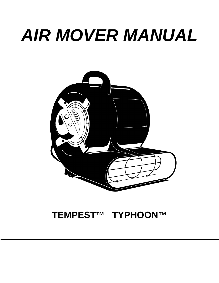# *AIR MOVER MANUAL*



## **TEMPEST™ TYPHOON™**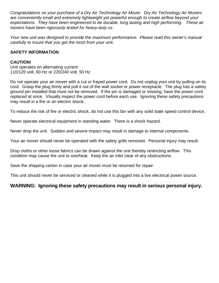*Congratulations on your purchase of a Dry Air Technology Air Mover. Dry Air Technology Air Movers are conveniently small and extremely lightweight yet powerful enough to create airflow beyond your expectations. They have been engineered to be durable, long lasting and high performing. These air movers have been rigorously tested for heavy-duty us.* 

*Your new unit was designed to provide the maximum performance. Please read this owner's manual carefully to insure that you get the most from your unit.*

#### **SAFETY INFORMATION**

#### **CAUTION!**

Unit operates on alternating current: 110/120 volt, 60 Hz or 220/240 volt, 50 Hz

Do not operate your air mover with a cut or frayed power cord. Do not unplug your unit by pulling on its cord. Grasp the plug firmly and pull it out of the wall socket or power receptacle. The plug has a safety ground pin installed that must not be removed. If the pin is damaged or missing, have the power cord replaced at once. Visually inspect the power cord before each use. Ignoring these safety precautions may result in a fire or an electric shock.

To reduce the risk of fire or electric shock, do not use this fan with any solid state speed control device.

Never operate electrical equipment in standing water. There is a shock hazard.

Never drop the unit. Sudden and severe impact may result in damage to internal components.

Your air mover should never be operated with the safety grills removed. Personal injury may result.

Drop cloths or other loose fabrics can be drawn against the unit thereby restricting airflow. This condition may cause the unit to overheat. Keep the air inlet clear of any obstructions.

Save the shipping carton in case your air mover must be returned for repair.

This unit should never be serviced or cleaned while it is plugged into a live electrical power source.

#### **WARNING: Ignoring these safety precautions may result in serious personal injury.**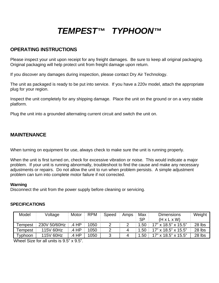# *TEMPEST™ TYPHOON™*

#### **OPERATING INSTRUCTIONS**

Please inspect your unit upon receipt for any freight damages. Be sure to keep all original packaging. Original packaging will help protect unit from freight damage upon return.

If you discover any damages during inspection, please contact Dry Air Technology.

The unit as packaged is ready to be put into service. If you have a 220v model, attach the appropriate plug for your region.

Inspect the unit completely for any shipping damage. Place the unit on the ground or on a very stable platform.

Plug the unit into a grounded alternating current circuit and switch the unit on.

#### **MAINTENANCE**

When turning on equipment for use, always check to make sure the unit is running properly.

When the unit is first turned on, check for excessive vibration or noise. This would indicate a major problem. If your unit is running abnormally, troubleshoot to find the cause and make any necessary adjustments or repairs. Do not allow the unit to run when problem persists. A simple adjustment problem can turn into complete motor failure if not corrected.

#### **Warning**

Disconnect the unit from the power supply before cleaning or servicing.

#### **SPECIFICATIONS**

| Model   | Voltage      | Motor | <b>RPM</b> | Speed | Amps | Max       | <b>Dimensions</b>         | Weight |
|---------|--------------|-------|------------|-------|------|-----------|---------------------------|--------|
|         |              |       |            |       |      | <b>SP</b> | $(H \times L \times W)$   |        |
| Tempest | 230V 50/60Hz | .4 HP | 1050       |       |      | 1.50      | $17"$ x $18.5"$ x $15.5"$ | 28 lbs |
| Tempest | 115V 60Hz    | .4 HP | 1050       |       |      | 1.50      | $17"$ x $18.5"$ x $15.5"$ | 28 lbs |
| Typhoon | 115V 60Hz    | .4 HP | 1050       |       |      | .50       | $17"$ x $18.5"$ x $15.5"$ | 28 lbs |

Wheel Size for all units is 9.5" x 9.5".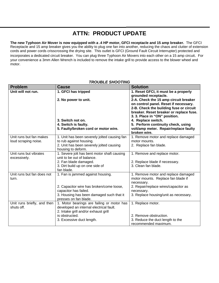## **ATTN: PRODUCT UPDATE**

**The new Typhoon Air Mover is now equipped with a .4 HP motor, GFCI receptacle and 15 amp breaker.** The GFCI Receptacle and 15 amp breaker gives you the ability to plug one fan into another, reducing the chaos and clutter of extension cords and power cords crisscrossing the drying site. This outlet is GFCI (Ground Fault Circuit Interrupter) protected and incorporates a dedicated circuit breaker. You can plug three Typhoon Air Movers into each other on a 15 amp circuit. For your convenience a 3mm Allen Wrench is included to remove the intake grill to provide access to the blower wheel and motor.

| <b>Problem</b>              | <b>Cause</b>                                                      | <b>Solution</b>                                                                  |
|-----------------------------|-------------------------------------------------------------------|----------------------------------------------------------------------------------|
| Unit will not run.          | 1. GFCI has tripped                                               | 1. Reset GFCI, it must be a properly                                             |
|                             |                                                                   | grounded receptacle.                                                             |
|                             | 2. No power to unit.                                              | 2-A. Check the 15 amp circuit breaker                                            |
|                             |                                                                   | on control panel. Reset if necessary.<br>2-B. Check the building fuse or circuit |
|                             |                                                                   | breaker. Reset breaker or replace fuse.                                          |
|                             |                                                                   | 3. 3. Place in "ON" position.                                                    |
|                             | 3. Switch not on.                                                 | 4. Replace switch.                                                               |
|                             | 4. Switch is faulty.                                              | 5. Perform continuity check, using                                               |
|                             | 5. Faulty/broken cord or motor wire.                              | volt/amp meter. Repair/replace faulty                                            |
|                             |                                                                   | broken wire.                                                                     |
| Unit runs but fan makes     | 1. Unit has been severely jolted causing fan                      | 1. Remove motor and replace damaged                                              |
| loud scraping noise.        | to rub against housing.                                           | motor mounts.                                                                    |
|                             | 2. Unit has been severely jolted causing                          | 2. Replace fan blade.                                                            |
| Unit runs but vibrates      | housing to deform.<br>1. Severe jolt has bent motor shaft causing | 1. Remove and replace motor.                                                     |
| excessively.                | unit to be out of balance.                                        |                                                                                  |
|                             | 2. Fan blade damaged.                                             | 2. Replace blade if necessary.                                                   |
|                             | 3. Dirt build up on one side of                                   | 3. Clean fan blade.                                                              |
|                             | fan blade.                                                        |                                                                                  |
| Unit runs but fan does not  | 1. Fan is jammed against housing.                                 | 1. Remove motor and replace damaged                                              |
| turn.                       |                                                                   | motor mounts. Replace fan blade if                                               |
|                             |                                                                   | necessary.                                                                       |
|                             | 2. Capacitor wire has broken/come loose,                          | 2. Repair/replace wires/capacitor as                                             |
|                             | capacitor has failed.<br>3. Housing has been damaged such that it | necessary.                                                                       |
|                             | presses on fan blade.                                             | 3. Replace housing/unit as necessary.                                            |
| Unit runs briefly, and then | 1. Motor bearings are failing or motor has                        | 1. Replace motor.                                                                |
| shuts off.                  | developed an internal electrical fault.                           |                                                                                  |
|                             | 2. Intake grill and/or exhaust grill                              |                                                                                  |
|                             | is obstructed.                                                    | 2. Remove obstruction.                                                           |
|                             | 3. Excessive duct length.                                         | 3. Reduce the duct length to the                                                 |
|                             |                                                                   | recommended maximum.                                                             |

#### *TROUBLE SHOOTING*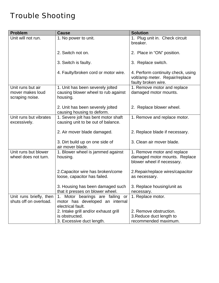## Trouble Shooting

| <b>Cause</b>                                                                                   | <b>Solution</b>                                                                             |
|------------------------------------------------------------------------------------------------|---------------------------------------------------------------------------------------------|
| 1. No power to unit.                                                                           | 1. Plug unit in. Check circuit<br>breaker.                                                  |
| 2. Switch not on.                                                                              | 2. Place in "ON" position.                                                                  |
| 3. Switch is faulty.                                                                           | 3. Replace switch.                                                                          |
| 4. Faulty/broken cord or motor wire.                                                           | 4. Perform continuity check, using<br>volt/amp meter. Repair/replace<br>faulty broken wire. |
| 1. Unit has been severely jolted<br>causing blower wheel to rub against<br>housing.            | 1. Remove motor and replace<br>damaged motor mounts.                                        |
| 2. Unit has been severely jolted<br>causing housing to deform.                                 | 2. Replace blower wheel.                                                                    |
| 1. Severe jolt has bent motor shaft<br>causing unit to be out of balance.                      | 1. Remove and replace motor.                                                                |
| 2. Air mover blade damaged.                                                                    | 2. Replace blade if necessary.                                                              |
| 3. Dirt build up on one side of<br>air mover blade.                                            | 3. Clean air mover blade.                                                                   |
| 1. Blower wheel is jammed against<br>housing.                                                  | 1. Remove motor and replace<br>damaged motor mounts. Replace<br>blower wheel if necessary.  |
| 2. Capacitor wire has broken/come<br>loose, capacitor has failed.                              | 2. Repair/replace wires/capacitor<br>as necessary.                                          |
| 3. Housing has been damaged such<br>that it presses on blower wheel.                           | 3. Replace housing/unit as<br>necessary.                                                    |
| Motor bearings are failing<br>1.<br>or<br>motor has developed an internal<br>electrical fault. | 1. Replace motor.                                                                           |
| 2. Intake grill and/or exhaust grill                                                           | 2. Remove obstruction.                                                                      |
|                                                                                                | 3. Reduce duct length to<br>recommended maximum.                                            |
|                                                                                                | is obstructed.<br>3. Excessive duct length.                                                 |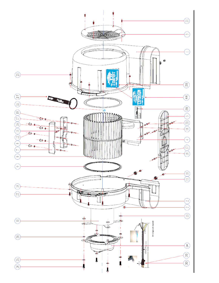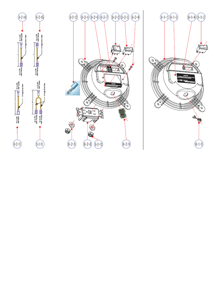



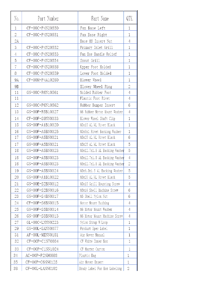| No. | Part Number     | Part Name                     | QTY. |
|-----|-----------------|-------------------------------|------|
| 1   | CF-00C-P4N20550 | Fan Base Left                 | 1    |
| 2   | CF-00C-P4N20551 | Fan Base Right                | 1    |
| 2Α  |                 | Base M6 Insert Nut            | 4    |
| 3   | CF-00C-P4N20552 | Primary Inlet Grill           | 1    |
| 4   | CF-00C-P4N20553 | Fan Bse Handle Relief         | 1    |
| 5   | CF-00C-P4N20554 | Snout Grill                   | 1    |
| 7   | CF-00C-P4N20558 | Upper Foot Molded             | 1    |
| 8   | CF-00C-P4N20559 | Lower Foot Molded             | 1    |
| 9А  | CF-00M-P4A10280 | Blower Wheel                  | 1    |
| 9Β  |                 | Blower Wheel Ring             | 2    |
| 11  | GN-00C-R6N10561 | Molded Rubber Foot            | 4    |
| 11  |                 | Plastic Foot Rivet            | 4    |
| 12  | GN-00C-P6N10562 | Rubber Bumper Insert          | 6    |
| 13  | GN-00F-R5B10327 | M6 Rubber Motor Mount Washer  | 4    |
| 14  | CF-00F-S9NN0333 | Blower Wheel Shaft Clip       | 1    |
| 15  | GN-00F-A1B10320 | M3x15 AL/AL Rivet Black       | 1    |
| 16  | GN-00F-A5BN0325 | M3x8x1 Rivet Backing Washer   | 1    |
| 17  | GN-00F-A5BN0321 | M5x25 AL/AL Rivet Black       | 6    |
| 17  | GN-00F-A5BN0321 | M5x25 AL/AL Rivet Black       | 5    |
| 18  | GN-00F-A5BN0323 | M5x12.7x1.5 AL Backing Washer | 5    |
| 18  | GN-00F-A5BN0323 | M5x12.7x1.5 AL Backing Washer | 4    |
| 18  | GN-00F-A5BN0323 | M5x12.7x1.5 AL Backing Washer | 2    |
| 19  | GN-00F-A5BN0324 | M5x9.5x1.5 AL Backing Washer  | 5    |
| 20  | GN-00F-A1B10322 | M5x20 AL/AL Rivet Black       | 5    |
| 21  | GN-00E-S2BN0312 | M5x15 Grill Mounting Screw    | 4    |
| 22  | GN-00F-S2BN0316 | M5x16 Shell Machine Screw     | 6    |
| 23  | GN-00F-S4BN0317 | M5 Shell Nylon Nut            | 6.   |
| 24  | CF-00F-S6BN0315 | Motor Mount Bushing           | 4    |
| 25  | GN-00F-S5BN0314 | M6 Motor Mount Washer         | 4    |
| 26  | GN-00F-S3BN0313 | M6 Motor Mount Machine Screw  | 4    |
| 27  | GL-00C-LNNN0223 | Nylon Strap W/Loop            | 1    |
| 29  | GN-00L-SANN0077 | Product Spec Label            | 1    |
| 31  | AF-00L-MINN0181 | Air Mover Manual              | 1    |
| 32  | CF-00P-C1N70034 | CF White Inner Box            | 1    |
| 33  | CF-00P-C1NN1024 | CF Master Carton              | 1    |
| 34  | AC-00P-P2N90088 | Plastic Bag                   | 1    |
| 35  | CF-00P-C6NN0125 | Air Mover Insert              | 1    |
| 38  | CF-00L-LANN0102 | Brady Label For Box Labeling  | 2    |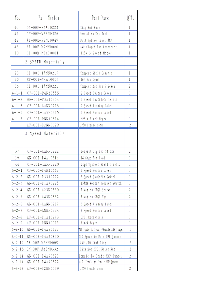| No.          | Part Number       | Part Name                             | QTY.         |
|--------------|-------------------|---------------------------------------|--------------|
| 40           | GN-00F-P6A10223   | Stay Put Knob                         | l            |
| 41           | GN-00F-M6BN0326   | 3mm Allen Key Tool                    | l            |
| 42           | AF-00E-P2N30049   | Butt Splice Insul AMP                 | $\mathbf{l}$ |
| 43           | AF-00E-N2NN0080   | AMP Closed End Connector              | l            |
| 10           | CF-00M-N1A10001   | 115v 3 Speed Motor                    | 1            |
|              | 2 SPEED Materials |                                       |              |
| 28           | CF-00L-LANN0219   | Tempest Shell Graphic                 | 1            |
| 30           | CF-00E-N4A10004   | 166 Fan Cord                          | l            |
| 36           | CF-00L-LANN0221   | Tempest 2sp Box Sticker               | 2            |
| $6 - 1 - 1$  | CP-00F-P4N20555   | 2 Speed Switch Cover                  | 1            |
| $6 - 1 - 2$  | GN-00E-P3A10254   | 2 Speed On/Off/On Switch              | 1            |
| $6 - 1 - 3$  | CF-00L-LANN0218   | 2 Speed Warning Label                 | 1            |
| $6 - 1 - 4$  | CF-00L-LANN0215   | 2 Speed Switch Label                  | 1            |
| $6 - 1 - 5$  | CF-00E-PNN10314   | 6P3-4 Black Heyco                     | l            |
|              | AF-00E-B2NN0029   | .250 Jemale conn.                     | 2            |
|              | 3 Speed Materials |                                       |              |
|              |                   |                                       |              |
|              |                   |                                       |              |
| 37           | CF-00L-LANN0222   | Tempest 3sp Box Sticker               | 2            |
| 39           | GN-00E-P4A10316   | 14 Gage Fan Cord                      | 1            |
| 44           | CF-00L-LANN0220   | 3spd Typhoon Shell Graphic            | 1            |
| $6 - 2 - 1$  | CF-00C-P4N20563   | 3 Speed Switch Cover                  | 1            |
| $6 - 2 - 2$  | GN-00E-P3B10222   | 3 Speed On/On/On Switch               | 1            |
| $6 - 2 - 3$  | $GN-00E-P1A30225$ | 15AMP Rocker Breaker Switch           | 1            |
| $6 - 2 - 4$  | GN-00F-A2BN0330   | Fixation CEGI Screw                   | 2            |
| $6 - 2 - 5$  | GN-00F-A4BN0332   | Fixation CFGI Nut                     | 2            |
| $6 - 2 - 6$  | $GN-00L-LANNO217$ | 3 Speed Warning Label                 | 1            |
| $6 - 2 - 7$  | $CP-00L-LNNN0224$ | 3 Speed Switch Label                  | 1            |
| $6 - 2 - 8$  | AF-00E-P1A10278   | GFCI Receptacle                       | 1            |
| $6 - 2 - 9$  | AF-00E-PNN10015   | Black Heyco                           | 1            |
| $6 - 2 - 10$ | $GN-00E-P4A60323$ | #10 Spade to Female/Jemale AMP Jumper | 1            |
| $6 - 2 - 11$ | $GN-00E-P4A20320$ | #10 Spade to Male AMP Jumper          | 1            |
| $6 - 2 - 12$ | AF-00E-N2NN0009   | AMP #10 Stud Ring                     | 2            |
| $6 - 2 - 13$ | $GN-00F-AABN0332$ | Fixation CFGI Nylon Nut               | 2            |
| $6 - 2 - 14$ | $GN-00E-P4A60321$ | Female To Spade AMP Jumper            | 2            |
| $6 - 2 - 15$ | $GN-00E-P4A60322$ | #10 Jensle to Fensle AMP Junper       | 1            |
| $6 - 2 - 16$ | AF-00E-B2NN0029   | .250 Jemale conn.                     | 2            |